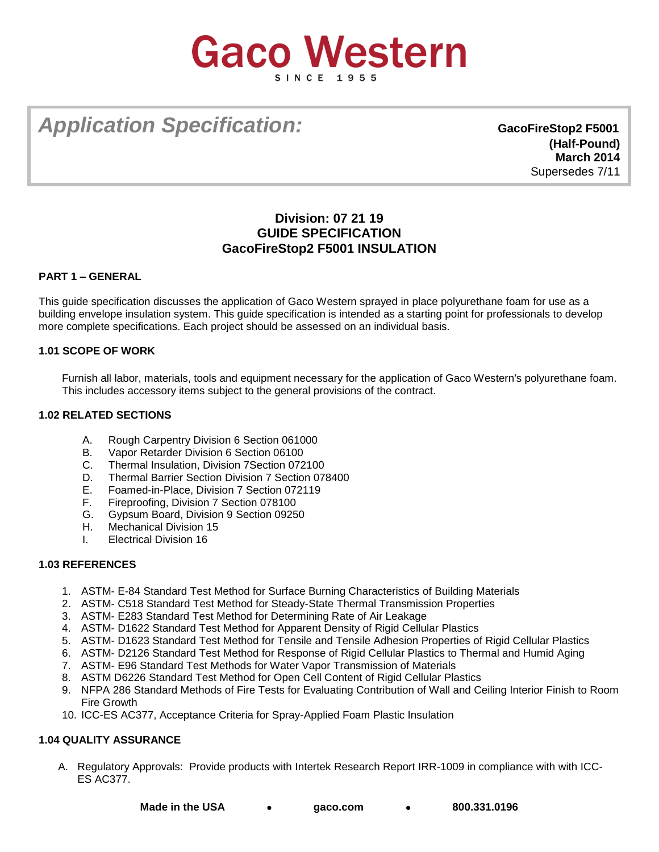# **Gaco Western**

# *Application Specification:* **GacoFireStop2 F5001**

**(Half-Pound) March 2014**  Supersedes 7/11

# **Division: 07 21 19 GUIDE SPECIFICATION GacoFireStop2 F5001 INSULATION**

# **PART 1 – GENERAL**

This guide specification discusses the application of Gaco Western sprayed in place polyurethane foam for use as a building envelope insulation system. This guide specification is intended as a starting point for professionals to develop more complete specifications. Each project should be assessed on an individual basis.

# **1.01 SCOPE OF WORK**

Furnish all labor, materials, tools and equipment necessary for the application of Gaco Western's polyurethane foam. This includes accessory items subject to the general provisions of the contract.

# **1.02 RELATED SECTIONS**

- A. Rough Carpentry Division 6 Section 061000
- B. Vapor Retarder Division 6 Section 06100
- C. Thermal Insulation, Division 7Section 072100
- D. Thermal Barrier Section Division 7 Section 078400<br>E. Foamed-in-Place. Division 7 Section 072119
- Foamed-in-Place, Division 7 Section 072119
- F. Fireproofing, Division 7 Section 078100
- G. Gypsum Board, Division 9 Section 09250<br>H. Mechanical Division 15
- Mechanical Division 15
- I. Electrical Division 16

# **1.03 REFERENCES**

- 1. ASTM- E-84 Standard Test Method for Surface Burning Characteristics of Building Materials
- 2. ASTM- C518 Standard Test Method for Steady-State Thermal Transmission Properties
- 3. ASTM- E283 Standard Test Method for Determining Rate of Air Leakage
- 4. ASTM- D1622 Standard Test Method for Apparent Density of Rigid Cellular Plastics
- 5. ASTM- D1623 Standard Test Method for Tensile and Tensile Adhesion Properties of Rigid Cellular Plastics
- 6. ASTM- D2126 Standard Test Method for Response of Rigid Cellular Plastics to Thermal and Humid Aging
- 7. ASTM- E96 Standard Test Methods for Water Vapor Transmission of Materials
- 8. ASTM D6226 Standard Test Method for Open Cell Content of Rigid Cellular Plastics
- 9. NFPA 286 Standard Methods of Fire Tests for Evaluating Contribution of Wall and Ceiling Interior Finish to Room Fire Growth
- 10. ICC-ES AC377, Acceptance Criteria for Spray-Applied Foam Plastic Insulation

# **1.04 QUALITY ASSURANCE**

A. Regulatory Approvals: Provide products with Intertek Research Report IRR-1009 in compliance with with ICC-ES AC377.

**Made in the USA [gaco.com](http://www.gaco.com/) 800.331.0196**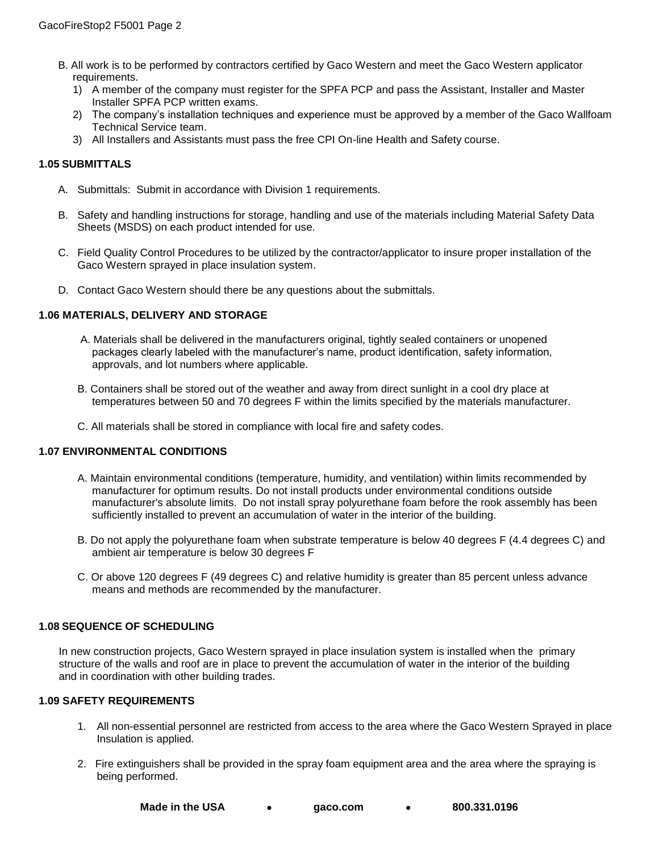- B. All work is to be performed by contractors certified by Gaco Western and meet the Gaco Western applicator requirements.
	- 1) A member of the company must register for the SPFA PCP and pass the Assistant, Installer and Master Installer SPFA PCP written exams.
	- 2) The company's installation techniques and experience must be approved by a member of the Gaco Wallfoam Technical Service team.
	- 3) All Installers and Assistants must pass the free CPI On-line Health and Safety course.

# **1.05 SUBMITTALS**

- A. Submittals: Submit in accordance with Division 1 requirements.
- B. Safety and handling instructions for storage, handling and use of the materials including Material Safety Data Sheets (MSDS) on each product intended for use.
- C. Field Quality Control Procedures to be utilized by the contractor/applicator to insure proper installation of the Gaco Western sprayed in place insulation system.
- D. Contact Gaco Western should there be any questions about the submittals.

# **1.06 MATERIALS, DELIVERY AND STORAGE**

- A. Materials shall be delivered in the manufacturers original, tightly sealed containers or unopened packages clearly labeled with the manufacturer's name, product identification, safety information, approvals, and lot numbers where applicable.
- B. Containers shall be stored out of the weather and away from direct sunlight in a cool dry place at temperatures between 50 and 70 degrees F within the limits specified by the materials manufacturer.
- C. All materials shall be stored in compliance with local fire and safety codes.

#### **1.07 ENVIRONMENTAL CONDITIONS**

- A. Maintain environmental conditions (temperature, humidity, and ventilation) within limits recommended by manufacturer for optimum results. Do not install products under environmental conditions outside manufacturer's absolute limits. Do not install spray polyurethane foam before the rook assembly has been sufficiently installed to prevent an accumulation of water in the interior of the building.
- B. Do not apply the polyurethane foam when substrate temperature is below 40 degrees F (4.4 degrees C) and ambient air temperature is below 30 degrees F
- C. Or above 120 degrees F (49 degrees C) and relative humidity is greater than 85 percent unless advance means and methods are recommended by the manufacturer.

#### **1.08 SEQUENCE OF SCHEDULING**

In new construction projects, Gaco Western sprayed in place insulation system is installed when the primary structure of the walls and roof are in place to prevent the accumulation of water in the interior of the building and in coordination with other building trades.

#### **1.09 SAFETY REQUIREMENTS**

- 1. All non-essential personnel are restricted from access to the area where the Gaco Western Sprayed in place Insulation is applied.
- 2. Fire extinguishers shall be provided in the spray foam equipment area and the area where the spraying is being performed.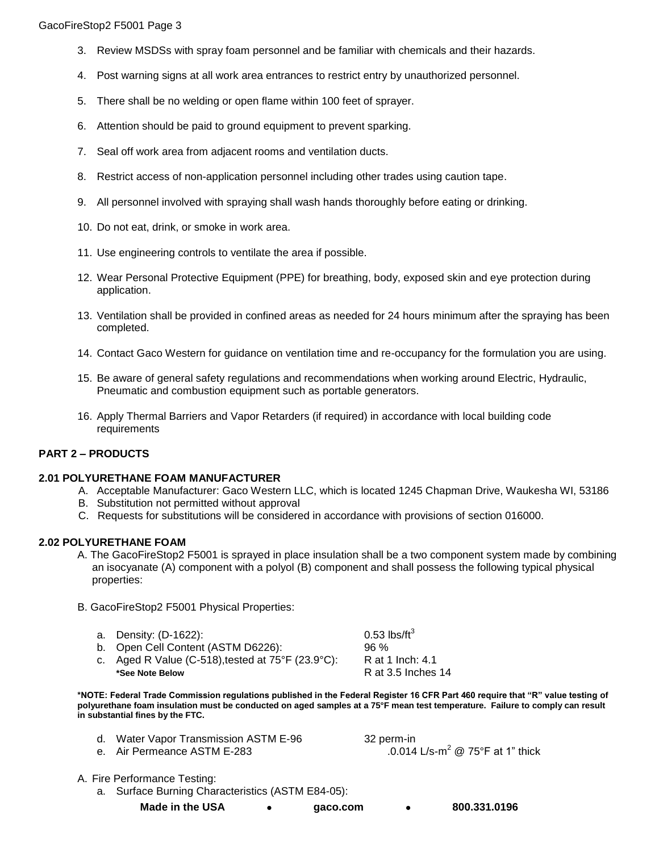- 3. Review MSDSs with spray foam personnel and be familiar with chemicals and their hazards.
- 4. Post warning signs at all work area entrances to restrict entry by unauthorized personnel.
- 5. There shall be no welding or open flame within 100 feet of sprayer.
- 6. Attention should be paid to ground equipment to prevent sparking.
- 7. Seal off work area from adjacent rooms and ventilation ducts.
- 8. Restrict access of non-application personnel including other trades using caution tape.
- 9. All personnel involved with spraying shall wash hands thoroughly before eating or drinking.
- 10. Do not eat, drink, or smoke in work area.
- 11. Use engineering controls to ventilate the area if possible.
- 12. Wear Personal Protective Equipment (PPE) for breathing, body, exposed skin and eye protection during application.
- 13. Ventilation shall be provided in confined areas as needed for 24 hours minimum after the spraying has been completed.
- 14. Contact Gaco Western for guidance on ventilation time and re-occupancy for the formulation you are using.
- 15. Be aware of general safety regulations and recommendations when working around Electric, Hydraulic, Pneumatic and combustion equipment such as portable generators.
- 16. Apply Thermal Barriers and Vapor Retarders (if required) in accordance with local building code requirements

# **PART 2 – PRODUCTS**

# **2.01 POLYURETHANE FOAM MANUFACTURER**

- A. Acceptable Manufacturer: Gaco Western LLC, which is located 1245 Chapman Drive, Waukesha WI, 53186
- B. Substitution not permitted without approval
- C. Requests for substitutions will be considered in accordance with provisions of section 016000.

# **2.02 POLYURETHANE FOAM**

- A. The GacoFireStop2 F5001 is sprayed in place insulation shall be a two component system made by combining an isocyanate (A) component with a polyol (B) component and shall possess the following typical physical properties:
- B. GacoFireStop2 F5001 Physical Properties:

| a. Density: (D-1622):                                                  | 0.53 lbs/ft $3$    |
|------------------------------------------------------------------------|--------------------|
| b. Open Cell Content (ASTM D6226):                                     | 96%                |
| c. Aged R Value (C-518), tested at $75^{\circ}$ F (23.9 $^{\circ}$ C): | R at 1 Inch: 4.1   |
| *See Note Below                                                        | R at 3.5 Inches 14 |

**\*NOTE: Federal Trade Commission regulations published in the Federal Register 16 CFR Part 460 require that "R" value testing of polyurethane foam insulation must be conducted on aged samples at a 75°F mean test temperature. Failure to comply can result in substantial fines by the FTC.** 

| d. Water Vapor Transmission ASTM E-96 | 32 perm-in                                   |
|---------------------------------------|----------------------------------------------|
| e. Air Permeance ASTM E-283           | .0.014 L/s-m <sup>2</sup> @ 75°F at 1" thick |

- A. Fire Performance Testing:
	- a. Surface Burning Characteristics (ASTM E84-05):
		- **Made in the USA [gaco.com](http://www.gaco.com/) 800.331.0196**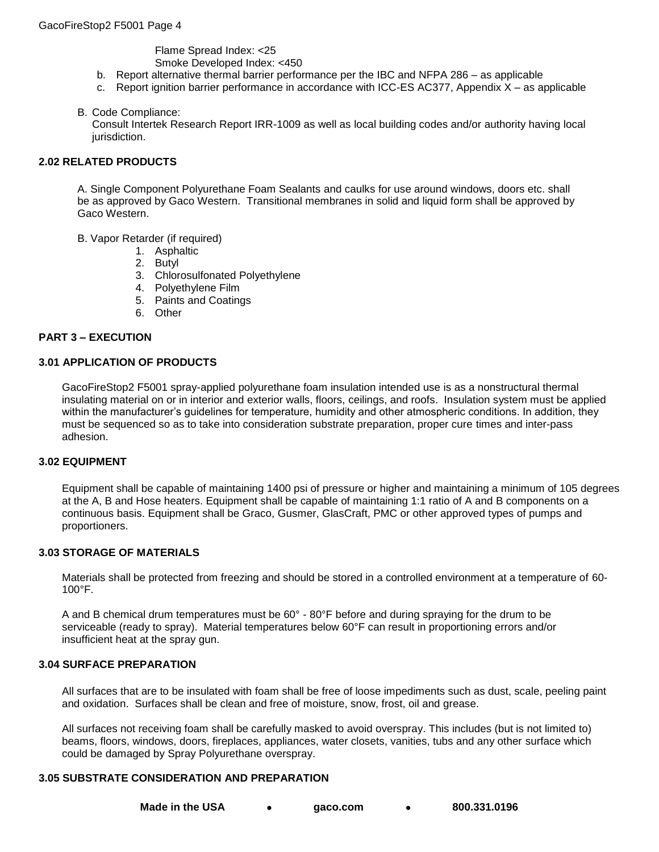Flame Spread Index: <25 Smoke Developed Index: <450

- b. Report alternative thermal barrier performance per the IBC and NFPA 286 as applicable
- c. Report ignition barrier performance in accordance with ICC-ES AC377, Appendix X as applicable

#### B. Code Compliance:

Consult Intertek Research Report IRR-1009 as well as local building codes and/or authority having local jurisdiction.

#### **2.02 RELATED PRODUCTS**

A. Single Component Polyurethane Foam Sealants and caulks for use around windows, doors etc. shall be as approved by Gaco Western. Transitional membranes in solid and liquid form shall be approved by Gaco Western.

- B. Vapor Retarder (if required)
	- 1. Asphaltic
	- 2. Butyl
	- 3. Chlorosulfonated Polyethylene
	- 4. Polyethylene Film
	- 5. Paints and Coatings
	- 6. Other

#### **PART 3 – EXECUTION**

#### **3.01 APPLICATION OF PRODUCTS**

GacoFireStop2 F5001 spray-applied polyurethane foam insulation intended use is as a nonstructural thermal insulating material on or in interior and exterior walls, floors, ceilings, and roofs. Insulation system must be applied within the manufacturer's guidelines for temperature, humidity and other atmospheric conditions. In addition, they must be sequenced so as to take into consideration substrate preparation, proper cure times and inter-pass adhesion.

#### **3.02 EQUIPMENT**

Equipment shall be capable of maintaining 1400 psi of pressure or higher and maintaining a minimum of 105 degrees at the A, B and Hose heaters. Equipment shall be capable of maintaining 1:1 ratio of A and B components on a continuous basis. Equipment shall be Graco, Gusmer, GlasCraft, PMC or other approved types of pumps and proportioners.

#### **3.03 STORAGE OF MATERIALS**

Materials shall be protected from freezing and should be stored in a controlled environment at a temperature of 60- 100°F.

A and B chemical drum temperatures must be 60° - 80°F before and during spraying for the drum to be serviceable (ready to spray). Material temperatures below 60°F can result in proportioning errors and/or insufficient heat at the spray gun.

# **3.04 SURFACE PREPARATION**

All surfaces that are to be insulated with foam shall be free of loose impediments such as dust, scale, peeling paint and oxidation. Surfaces shall be clean and free of moisture, snow, frost, oil and grease.

All surfaces not receiving foam shall be carefully masked to avoid overspray. This includes (but is not limited to) beams, floors, windows, doors, fireplaces, appliances, water closets, vanities, tubs and any other surface which could be damaged by Spray Polyurethane overspray.

#### **3.05 SUBSTRATE CONSIDERATION AND PREPARATION**

**Made in the USA [gaco.com](http://www.gaco.com/) 800.331.0196**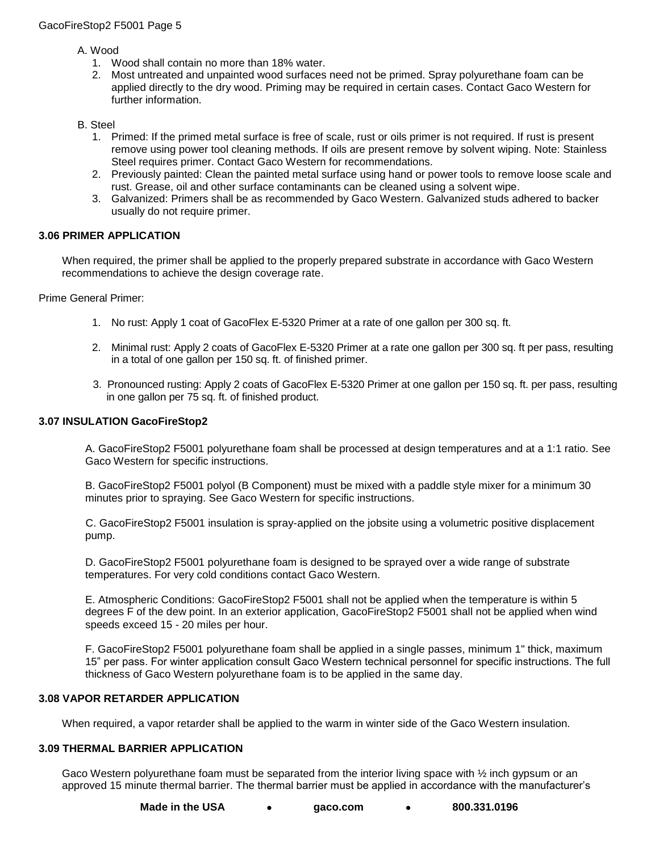A. Wood

- 1. Wood shall contain no more than 18% water.
- 2. Most untreated and unpainted wood surfaces need not be primed. Spray polyurethane foam can be applied directly to the dry wood. Priming may be required in certain cases. Contact Gaco Western for further information.

# B. Steel

- 1. Primed: If the primed metal surface is free of scale, rust or oils primer is not required. If rust is present remove using power tool cleaning methods. If oils are present remove by solvent wiping. Note: Stainless Steel requires primer. Contact Gaco Western for recommendations.
- 2. Previously painted: Clean the painted metal surface using hand or power tools to remove loose scale and rust. Grease, oil and other surface contaminants can be cleaned using a solvent wipe.
- 3. Galvanized: Primers shall be as recommended by Gaco Western. Galvanized studs adhered to backer usually do not require primer.

# **3.06 PRIMER APPLICATION**

When required, the primer shall be applied to the properly prepared substrate in accordance with Gaco Western recommendations to achieve the design coverage rate.

Prime General Primer:

- 1. No rust: Apply 1 coat of GacoFlex E-5320 Primer at a rate of one gallon per 300 sq. ft.
- 2. Minimal rust: Apply 2 coats of GacoFlex E-5320 Primer at a rate one gallon per 300 sq. ft per pass, resulting in a total of one gallon per 150 sq. ft. of finished primer.
- 3. Pronounced rusting: Apply 2 coats of GacoFlex E-5320 Primer at one gallon per 150 sq. ft. per pass, resulting in one gallon per 75 sq. ft. of finished product.

# **3.07 INSULATION GacoFireStop2**

A. GacoFireStop2 F5001 polyurethane foam shall be processed at design temperatures and at a 1:1 ratio. See Gaco Western for specific instructions.

B. GacoFireStop2 F5001 polyol (B Component) must be mixed with a paddle style mixer for a minimum 30 minutes prior to spraying. See Gaco Western for specific instructions.

C. GacoFireStop2 F5001 insulation is spray-applied on the jobsite using a volumetric positive displacement pump.

D. GacoFireStop2 F5001 polyurethane foam is designed to be sprayed over a wide range of substrate temperatures. For very cold conditions contact Gaco Western.

E. Atmospheric Conditions: GacoFireStop2 F5001 shall not be applied when the temperature is within 5 degrees F of the dew point. In an exterior application, GacoFireStop2 F5001 shall not be applied when wind speeds exceed 15 - 20 miles per hour.

F. GacoFireStop2 F5001 polyurethane foam shall be applied in a single passes, minimum 1" thick, maximum 15" per pass. For winter application consult Gaco Western technical personnel for specific instructions. The full thickness of Gaco Western polyurethane foam is to be applied in the same day.

# **3.08 VAPOR RETARDER APPLICATION**

When required, a vapor retarder shall be applied to the warm in winter side of the Gaco Western insulation.

# **3.09 THERMAL BARRIER APPLICATION**

Gaco Western polyurethane foam must be separated from the interior living space with  $\frac{1}{2}$  inch gypsum or an approved 15 minute thermal barrier. The thermal barrier must be applied in accordance with the manufacturer's

**Made in the USA [gaco.com](http://www.gaco.com/) 800.331.0196**